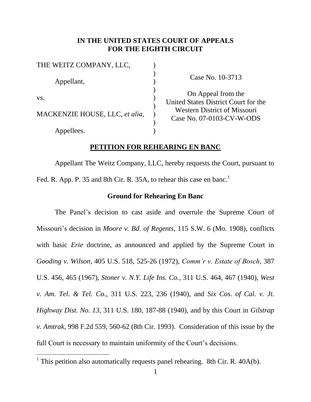# **IN THE UNITED STATES COURT OF APPEALS FOR THE EIGHTH CIRCUIT**

| THE WEITZ COMPANY, LLC,        |  |
|--------------------------------|--|
| Appellant,                     |  |
| VS.                            |  |
| MACKENZIE HOUSE, LLC, et alia, |  |
| Appellees.                     |  |

 $\overline{a}$ 

Case No. 10-3713

On Appeal from the United States District Court for the Western District of Missouri Case No. 07-0103-CV-W-ODS

#### **PETITION FOR REHEARING EN BANC**

Appellant The Weitz Company, LLC, hereby requests the Court, pursuant to Fed. R. App. P. 35 and 8th Cir. R. 35A, to rehear this case en banc.<sup>1</sup>

#### **Ground for Rehearing En Banc**

The Panel's decision to cast aside and overrule the Supreme Court of Missouri's decision in *Moore v. Bd. of Regents*, 115 S.W. 6 (Mo. 1908), conflicts with basic *Erie* doctrine, as announced and applied by the Supreme Court in *Gooding v. Wilson*, 405 U.S. 518, 525-26 (1972), *Comm'r v. Estate of Bosch*, 387 U.S. 456, 465 (1967), *Stoner v. N.Y. Life Ins. Co.*, 311 U.S. 464, 467 (1940), *West v. Am. Tel. & Tel. Co.*, 311 U.S. 223, 236 (1940), and *Six Cos. of Cal. v. Jt. Highway Dist. No. 13*, 311 U.S. 180, 187-88 (1940), and by this Court in *Gilstrap v. Amtrak*, 998 F.2d 559, 560-62 (8th Cir. 1993). Consideration of this issue by the full Court is necessary to maintain uniformity of the Court's decisions.

<sup>&</sup>lt;sup>1</sup> This petition also automatically requests panel rehearing. 8th Cir. R.  $40A(b)$ .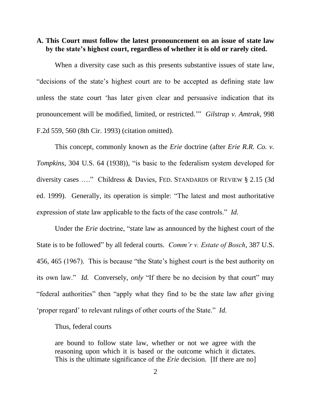# **A. This Court must follow the latest pronouncement on an issue of state law by the state's highest court, regardless of whether it is old or rarely cited.**

When a diversity case such as this presents substantive issues of state law, "decisions of the state's highest court are to be accepted as defining state law unless the state court 'has later given clear and persuasive indication that its pronouncement will be modified, limited, or restricted.'" *Gilstrap v. Amtrak*, 998 F.2d 559, 560 (8th Cir. 1993) (citation omitted).

This concept, commonly known as the *Erie* doctrine (after *Erie R.R. Co. v. Tompkins*, 304 U.S. 64 (1938)), "is basic to the federalism system developed for diversity cases …." Childress & Davies, FED. STANDARDS OF REVIEW § 2.15 (3d ed. 1999). Generally, its operation is simple: "The latest and most authoritative expression of state law applicable to the facts of the case controls." *Id.*

Under the *Erie* doctrine, "state law as announced by the highest court of the State is to be followed" by all federal courts. *Comm'r v. Estate of Bosch*, 387 U.S. 456, 465 (1967). This is because "the State's highest court is the best authority on its own law." *Id.* Conversely, *only* "If there be no decision by that court" may "federal authorities" then "apply what they find to be the state law after giving 'proper regard' to relevant rulings of other courts of the State." *Id.*

Thus, federal courts

are bound to follow state law, whether or not we agree with the reasoning upon which it is based or the outcome which it dictates. This is the ultimate significance of the *Erie* decision. [If there are no]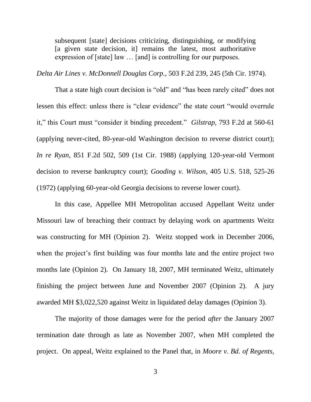subsequent [state] decisions criticizing, distinguishing, or modifying [a given state decision, it] remains the latest, most authoritative expression of [state] law … [and] is controlling for our purposes.

*Delta Air Lines v. McDonnell Douglas Corp.*, 503 F.2d 239, 245 (5th Cir. 1974).

That a state high court decision is "old" and "has been rarely cited" does not lessen this effect: unless there is "clear evidence" the state court "would overrule it," this Court must "consider it binding precedent." *Gilstrap*, 793 F.2d at 560-61 (applying never-cited, 80-year-old Washington decision to reverse district court); *In re Ryan*, 851 F.2d 502, 509 (1st Cir. 1988) (applying 120-year-old Vermont decision to reverse bankruptcy court); *Gooding v. Wilson*, 405 U.S. 518, 525-26 (1972) (applying 60-year-old Georgia decisions to reverse lower court).

In this case, Appellee MH Metropolitan accused Appellant Weitz under Missouri law of breaching their contract by delaying work on apartments Weitz was constructing for MH (Opinion 2). Weitz stopped work in December 2006, when the project's first building was four months late and the entire project two months late (Opinion 2). On January 18, 2007, MH terminated Weitz, ultimately finishing the project between June and November 2007 (Opinion 2). A jury awarded MH \$3,022,520 against Weitz in liquidated delay damages (Opinion 3).

The majority of those damages were for the period *after* the January 2007 termination date through as late as November 2007, when MH completed the project. On appeal, Weitz explained to the Panel that, in *Moore v. Bd. of Regents*,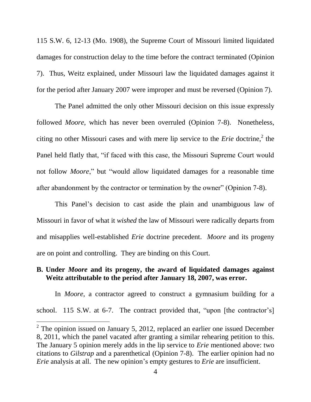115 S.W. 6, 12-13 (Mo. 1908), the Supreme Court of Missouri limited liquidated damages for construction delay to the time before the contract terminated (Opinion 7). Thus, Weitz explained, under Missouri law the liquidated damages against it for the period after January 2007 were improper and must be reversed (Opinion 7).

The Panel admitted the only other Missouri decision on this issue expressly followed *Moore*, which has never been overruled (Opinion 7-8). Nonetheless, citing no other Missouri cases and with mere lip service to the *Erie* doctrine,<sup>2</sup> the Panel held flatly that, "if faced with this case, the Missouri Supreme Court would not follow *Moore*," but "would allow liquidated damages for a reasonable time after abandonment by the contractor or termination by the owner" (Opinion 7-8).

This Panel's decision to cast aside the plain and unambiguous law of Missouri in favor of what it *wished* the law of Missouri were radically departs from and misapplies well-established *Erie* doctrine precedent. *Moore* and its progeny are on point and controlling. They are binding on this Court.

# **B. Under** *Moore* **and its progeny, the award of liquidated damages against Weitz attributable to the period after January 18, 2007, was error.**

In *Moore*, a contractor agreed to construct a gymnasium building for a school. 115 S.W. at 6-7. The contract provided that, "upon [the contractor's]

 $\overline{a}$ 

<sup>&</sup>lt;sup>2</sup> The opinion issued on January 5, 2012, replaced an earlier one issued December 8, 2011, which the panel vacated after granting a similar rehearing petition to this. The January 5 opinion merely adds in the lip service to *Erie* mentioned above: two citations to *Gilstrap* and a parenthetical (Opinion 7-8). The earlier opinion had no *Erie* analysis at all. The new opinion's empty gestures to *Erie* are insufficient.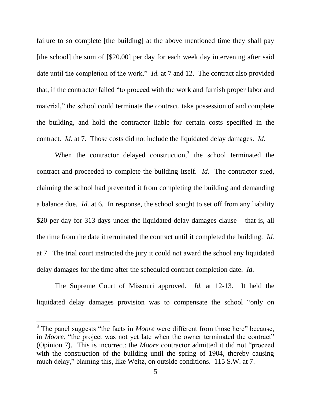failure to so complete [the building] at the above mentioned time they shall pay [the school] the sum of [\$20.00] per day for each week day intervening after said date until the completion of the work." *Id.* at 7 and 12. The contract also provided that, if the contractor failed "to proceed with the work and furnish proper labor and material," the school could terminate the contract, take possession of and complete the building, and hold the contractor liable for certain costs specified in the contract. *Id.* at 7. Those costs did not include the liquidated delay damages. *Id.*

When the contractor delayed construction, $3$  the school terminated the contract and proceeded to complete the building itself. *Id.* The contractor sued, claiming the school had prevented it from completing the building and demanding a balance due. *Id.* at 6. In response, the school sought to set off from any liability \$20 per day for 313 days under the liquidated delay damages clause – that is, all the time from the date it terminated the contract until it completed the building. *Id.* at 7. The trial court instructed the jury it could not award the school any liquidated delay damages for the time after the scheduled contract completion date. *Id.*

The Supreme Court of Missouri approved. *Id.* at 12-13. It held the liquidated delay damages provision was to compensate the school "only on

 $\overline{a}$ 

<sup>&</sup>lt;sup>3</sup> The panel suggests "the facts in *Moore* were different from those here" because, in *Moore*, "the project was not yet late when the owner terminated the contract" (Opinion 7). This is incorrect: the *Moore* contractor admitted it did not "proceed with the construction of the building until the spring of 1904, thereby causing much delay," blaming this, like Weitz, on outside conditions. 115 S.W. at 7.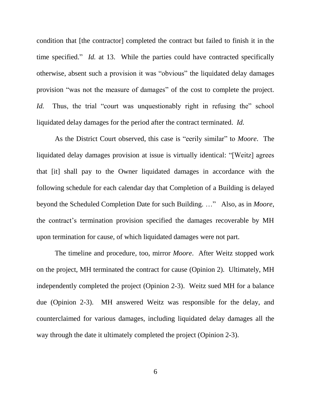condition that [the contractor] completed the contract but failed to finish it in the time specified." *Id.* at 13. While the parties could have contracted specifically otherwise, absent such a provision it was "obvious" the liquidated delay damages provision "was not the measure of damages" of the cost to complete the project. *Id.* Thus, the trial "court was unquestionably right in refusing the" school liquidated delay damages for the period after the contract terminated. *Id.*

As the District Court observed, this case is "eerily similar" to *Moore*. The liquidated delay damages provision at issue is virtually identical: "[Weitz] agrees that [it] shall pay to the Owner liquidated damages in accordance with the following schedule for each calendar day that Completion of a Building is delayed beyond the Scheduled Completion Date for such Building. …" Also, as in *Moore*, the contract's termination provision specified the damages recoverable by MH upon termination for cause, of which liquidated damages were not part.

The timeline and procedure, too, mirror *Moore*. After Weitz stopped work on the project, MH terminated the contract for cause (Opinion 2). Ultimately, MH independently completed the project (Opinion 2-3). Weitz sued MH for a balance due (Opinion 2-3). MH answered Weitz was responsible for the delay, and counterclaimed for various damages, including liquidated delay damages all the way through the date it ultimately completed the project (Opinion 2-3).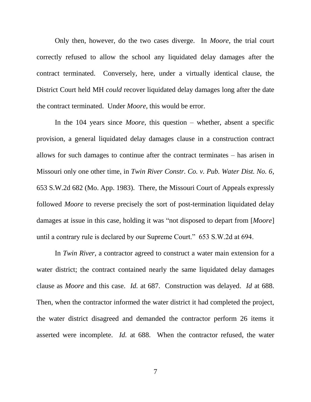Only then, however, do the two cases diverge. In *Moore*, the trial court correctly refused to allow the school any liquidated delay damages after the contract terminated. Conversely, here, under a virtually identical clause, the District Court held MH *could* recover liquidated delay damages long after the date the contract terminated. Under *Moore*, this would be error.

In the 104 years since *Moore*, this question – whether, absent a specific provision, a general liquidated delay damages clause in a construction contract allows for such damages to continue after the contract terminates – has arisen in Missouri only one other time, in *Twin River Constr. Co. v. Pub. Water Dist. No. 6*, 653 S.W.2d 682 (Mo. App. 1983). There, the Missouri Court of Appeals expressly followed *Moore* to reverse precisely the sort of post-termination liquidated delay damages at issue in this case, holding it was "not disposed to depart from [*Moore*] until a contrary rule is declared by our Supreme Court." 653 S.W.2d at 694.

In *Twin River*, a contractor agreed to construct a water main extension for a water district; the contract contained nearly the same liquidated delay damages clause as *Moore* and this case. *Id.* at 687. Construction was delayed. *Id* at 688. Then, when the contractor informed the water district it had completed the project, the water district disagreed and demanded the contractor perform 26 items it asserted were incomplete. *Id.* at 688. When the contractor refused, the water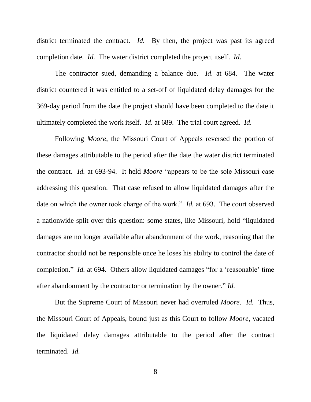district terminated the contract. *Id*. By then, the project was past its agreed completion date. *Id.* The water district completed the project itself. *Id.*

The contractor sued, demanding a balance due. *Id.* at 684. The water district countered it was entitled to a set-off of liquidated delay damages for the 369-day period from the date the project should have been completed to the date it ultimately completed the work itself. *Id.* at 689. The trial court agreed. *Id.*

Following *Moore*, the Missouri Court of Appeals reversed the portion of these damages attributable to the period after the date the water district terminated the contract. *Id.* at 693-94. It held *Moore* "appears to be the sole Missouri case addressing this question. That case refused to allow liquidated damages after the date on which the owner took charge of the work." *Id.* at 693. The court observed a nationwide split over this question: some states, like Missouri, hold "liquidated damages are no longer available after abandonment of the work, reasoning that the contractor should not be responsible once he loses his ability to control the date of completion." *Id.* at 694. Others allow liquidated damages "for a 'reasonable' time after abandonment by the contractor or termination by the owner." *Id.*

But the Supreme Court of Missouri never had overruled *Moore*. *Id.* Thus, the Missouri Court of Appeals, bound just as this Court to follow *Moore*, vacated the liquidated delay damages attributable to the period after the contract terminated. *Id.*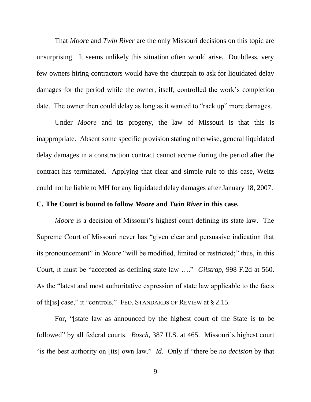That *Moore* and *Twin River* are the only Missouri decisions on this topic are unsurprising. It seems unlikely this situation often would arise. Doubtless, very few owners hiring contractors would have the chutzpah to ask for liquidated delay damages for the period while the owner, itself, controlled the work's completion date. The owner then could delay as long as it wanted to "rack up" more damages.

Under *Moore* and its progeny, the law of Missouri is that this is inappropriate. Absent some specific provision stating otherwise, general liquidated delay damages in a construction contract cannot accrue during the period after the contract has terminated. Applying that clear and simple rule to this case, Weitz could not be liable to MH for any liquidated delay damages after January 18, 2007.

#### **C. The Court is bound to follow** *Moore* **and** *Twin River* **in this case.**

*Moore* is a decision of Missouri's highest court defining its state law. The Supreme Court of Missouri never has "given clear and persuasive indication that its pronouncement" in *Moore* "will be modified, limited or restricted;" thus, in this Court, it must be "accepted as defining state law …." *Gilstrap*, 998 F.2d at 560. As the "latest and most authoritative expression of state law applicable to the facts of th[is] case," it "controls." FED. STANDARDS OF REVIEW at § 2.15.

For, "[state law as announced by the highest court of the State is to be followed" by all federal courts. *Bosch*, 387 U.S. at 465. Missouri's highest court "is the best authority on [its] own law." *Id.* Only if "there be *no decision* by that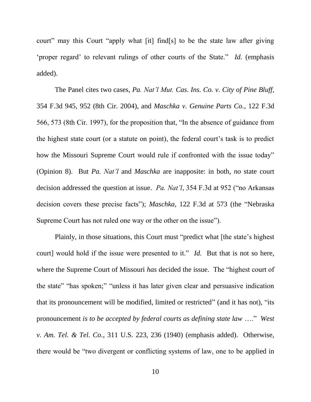court" may this Court "apply what [it] find[s] to be the state law after giving 'proper regard' to relevant rulings of other courts of the State." *Id.* (emphasis added).

The Panel cites two cases, *Pa. Nat'l Mut. Cas. Ins. Co. v. City of Pine Bluff*, 354 F.3d 945, 952 (8th Cir. 2004), and *Maschka v. Genuine Parts Co.*, 122 F.3d 566, 573 (8th Cir. 1997), for the proposition that, "In the absence of guidance from the highest state court (or a statute on point), the federal court's task is to predict how the Missouri Supreme Court would rule if confronted with the issue today" (Opinion 8). But *Pa. Nat'l* and *Maschka* are inapposite: in both, *no* state court decision addressed the question at issue. *Pa. Nat'l*, 354 F.3d at 952 ("no Arkansas decision covers these precise facts"); *Maschka*, 122 F.3d at 573 (the "Nebraska Supreme Court has not ruled one way or the other on the issue").

Plainly, in those situations, this Court must "predict what [the state's highest court] would hold if the issue were presented to it." *Id.* But that is not so here, where the Supreme Court of Missouri *has* decided the issue. The "highest court of the state" "has spoken;" "unless it has later given clear and persuasive indication that its pronouncement will be modified, limited or restricted" (and it has not), "its pronouncement *is to be accepted by federal courts as defining state law* …." *West v. Am. Tel. & Tel. Co.*, 311 U.S. 223, 236 (1940) (emphasis added). Otherwise, there would be "two divergent or conflicting systems of law, one to be applied in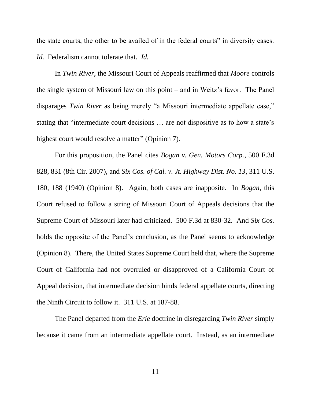the state courts, the other to be availed of in the federal courts" in diversity cases. *Id.* Federalism cannot tolerate that. *Id.*

In *Twin River*, the Missouri Court of Appeals reaffirmed that *Moore* controls the single system of Missouri law on this point – and in Weitz's favor. The Panel disparages *Twin River* as being merely "a Missouri intermediate appellate case," stating that "intermediate court decisions … are not dispositive as to how a state's highest court would resolve a matter" (Opinion 7).

For this proposition, the Panel cites *Bogan v. Gen. Motors Corp.*, 500 F.3d 828, 831 (8th Cir. 2007), and *Six Cos. of Cal. v. Jt. Highway Dist. No. 13*, 311 U.S. 180, 188 (1940) (Opinion 8). Again, both cases are inapposite. In *Bogan*, this Court refused to follow a string of Missouri Court of Appeals decisions that the Supreme Court of Missouri later had criticized. 500 F.3d at 830-32. And *Six Cos.* holds the opposite of the Panel's conclusion, as the Panel seems to acknowledge (Opinion 8). There, the United States Supreme Court held that, where the Supreme Court of California had not overruled or disapproved of a California Court of Appeal decision, that intermediate decision binds federal appellate courts, directing the Ninth Circuit to follow it. 311 U.S. at 187-88.

The Panel departed from the *Erie* doctrine in disregarding *Twin River* simply because it came from an intermediate appellate court. Instead, as an intermediate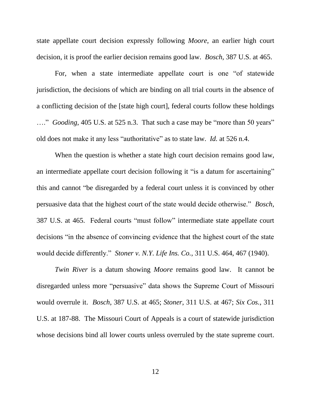state appellate court decision expressly following *Moore*, an earlier high court decision, it is proof the earlier decision remains good law. *Bosch*, 387 U.S. at 465.

For, when a state intermediate appellate court is one "of statewide jurisdiction, the decisions of which are binding on all trial courts in the absence of a conflicting decision of the [state high court], federal courts follow these holdings …." *Gooding*, 405 U.S. at 525 n.3. That such a case may be "more than 50 years" old does not make it any less "authoritative" as to state law. *Id.* at 526 n.4.

When the question is whether a state high court decision remains good law, an intermediate appellate court decision following it "is a datum for ascertaining" this and cannot "be disregarded by a federal court unless it is convinced by other persuasive data that the highest court of the state would decide otherwise." *Bosch*, 387 U.S. at 465. Federal courts "must follow" intermediate state appellate court decisions "in the absence of convincing evidence that the highest court of the state would decide differently." *Stoner v. N.Y. Life Ins. Co.*, 311 U.S. 464, 467 (1940).

*Twin River* is a datum showing *Moore* remains good law. It cannot be disregarded unless more "persuasive" data shows the Supreme Court of Missouri would overrule it. *Bosch*, 387 U.S. at 465; *Stoner*, 311 U.S. at 467; *Six Cos.*, 311 U.S. at 187-88. The Missouri Court of Appeals is a court of statewide jurisdiction whose decisions bind all lower courts unless overruled by the state supreme court.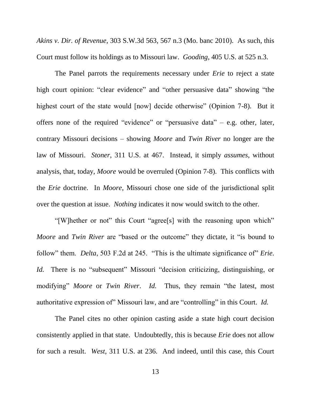*Akins v. Dir. of Revenue*, 303 S.W.3d 563, 567 n.3 (Mo. banc 2010). As such, this Court must follow its holdings as to Missouri law. *Gooding*, 405 U.S. at 525 n.3.

The Panel parrots the requirements necessary under *Erie* to reject a state high court opinion: "clear evidence" and "other persuasive data" showing "the highest court of the state would [now] decide otherwise" (Opinion 7-8). But it offers none of the required "evidence" or "persuasive data" – e.g. other, later, contrary Missouri decisions – showing *Moore* and *Twin River* no longer are the law of Missouri. *Stoner*, 311 U.S. at 467. Instead, it simply *assumes*, without analysis, that, today, *Moore* would be overruled (Opinion 7-8). This conflicts with the *Erie* doctrine. In *Moore*, Missouri chose one side of the jurisdictional split over the question at issue. *Nothing* indicates it now would switch to the other.

"[W]hether or not" this Court "agree[s] with the reasoning upon which" *Moore* and *Twin River* are "based or the outcome" they dictate, it "is bound to follow" them. *Delta*, 503 F.2d at 245. "This is the ultimate significance of" *Erie*. *Id.* There is no "subsequent" Missouri "decision criticizing, distinguishing, or modifying" *Moore* or *Twin River*. *Id.* Thus, they remain "the latest, most authoritative expression of" Missouri law, and are "controlling" in this Court. *Id.*

The Panel cites no other opinion casting aside a state high court decision consistently applied in that state. Undoubtedly, this is because *Erie* does not allow for such a result. *West*, 311 U.S. at 236. And indeed, until this case, this Court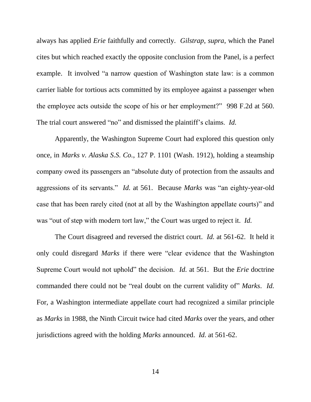always has applied *Erie* faithfully and correctly. *Gilstrap*, *supra*, which the Panel cites but which reached exactly the opposite conclusion from the Panel, is a perfect example. It involved "a narrow question of Washington state law: is a common carrier liable for tortious acts committed by its employee against a passenger when the employee acts outside the scope of his or her employment?" 998 F.2d at 560. The trial court answered "no" and dismissed the plaintiff's claims. *Id.*

Apparently, the Washington Supreme Court had explored this question only once, in *Marks v. Alaska S.S. Co.*, 127 P. 1101 (Wash. 1912), holding a steamship company owed its passengers an "absolute duty of protection from the assaults and aggressions of its servants." *Id.* at 561. Because *Marks* was "an eighty-year-old case that has been rarely cited (not at all by the Washington appellate courts)" and was "out of step with modern tort law," the Court was urged to reject it. *Id.*

The Court disagreed and reversed the district court. *Id.* at 561-62. It held it only could disregard *Marks* if there were "clear evidence that the Washington Supreme Court would not uphold" the decision. *Id.* at 561. But the *Erie* doctrine commanded there could not be "real doubt on the current validity of" *Marks*. *Id.* For, a Washington intermediate appellate court had recognized a similar principle as *Marks* in 1988, the Ninth Circuit twice had cited *Marks* over the years, and other jurisdictions agreed with the holding *Marks* announced. *Id.* at 561-62.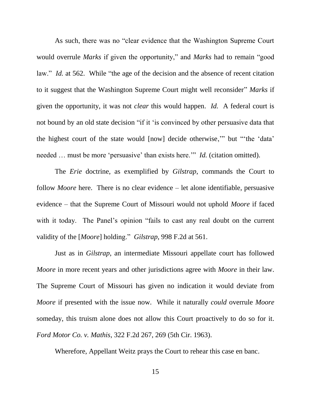As such, there was no "clear evidence that the Washington Supreme Court would overrule *Marks* if given the opportunity," and *Marks* had to remain "good law." *Id.* at 562. While "the age of the decision and the absence of recent citation to it suggest that the Washington Supreme Court might well reconsider" *Marks* if given the opportunity, it was not *clear* this would happen. *Id.* A federal court is not bound by an old state decision "if it 'is convinced by other persuasive data that the highest court of the state would [now] decide otherwise,'" but "'the 'data' needed … must be more 'persuasive' than exists here.'" *Id.* (citation omitted).

The *Erie* doctrine, as exemplified by *Gilstrap*, commands the Court to follow *Moore* here. There is no clear evidence – let alone identifiable, persuasive evidence – that the Supreme Court of Missouri would not uphold *Moore* if faced with it today. The Panel's opinion "fails to cast any real doubt on the current validity of the [*Moore*] holding." *Gilstrap*, 998 F.2d at 561.

Just as in *Gilstrap*, an intermediate Missouri appellate court has followed *Moore* in more recent years and other jurisdictions agree with *Moore* in their law. The Supreme Court of Missouri has given no indication it would deviate from *Moore* if presented with the issue now. While it naturally *could* overrule *Moore* someday, this truism alone does not allow this Court proactively to do so for it. *Ford Motor Co. v. Mathis*, 322 F.2d 267, 269 (5th Cir. 1963).

Wherefore, Appellant Weitz prays the Court to rehear this case en banc.